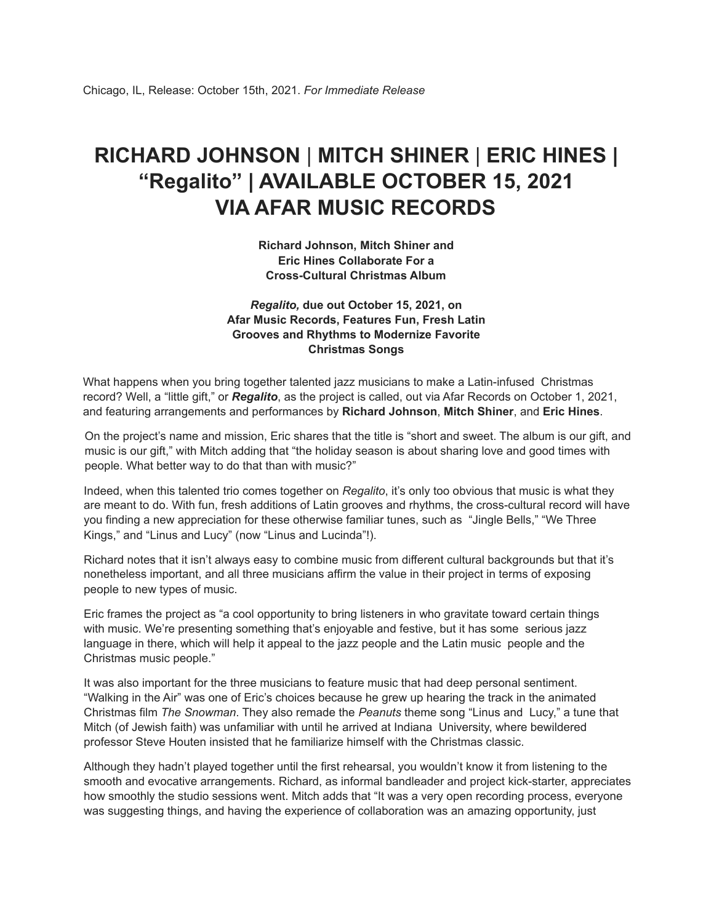## **RICHARD JOHNSON** | **MITCH SHINER** | **ERIC HINES | "Regalito" | AVAILABLE OCTOBER 15, 2021 VIA AFAR MUSIC RECORDS**

**Richard Johnson, Mitch Shiner and Eric Hines Collaborate For a Cross-Cultural Christmas Album**

## *Regalito,* **due out October 15, 2021, on Afar Music Records, Features Fun, Fresh Latin Grooves and Rhythms to Modernize Favorite Christmas Songs**

What happens when you bring together talented jazz musicians to make a Latin-infused Christmas record? Well, a "little gift," or *Regalito*, as the project is called, out via Afar Records on October 1, 2021, and featuring arrangements and performances by **Richard Johnson**, **Mitch Shiner**, and **Eric Hines**.

On the project's name and mission, Eric shares that the title is "short and sweet. The album is our gift, and music is our gift," with Mitch adding that "the holiday season is about sharing love and good times with people. What better way to do that than with music?"

Indeed, when this talented trio comes together on *Regalito*, it's only too obvious that music is what they are meant to do. With fun, fresh additions of Latin grooves and rhythms, the cross-cultural record will have you finding a new appreciation for these otherwise familiar tunes, such as "Jingle Bells," "We Three Kings," and "Linus and Lucy" (now "Linus and Lucinda"!).

Richard notes that it isn't always easy to combine music from different cultural backgrounds but that it's nonetheless important, and all three musicians affirm the value in their project in terms of exposing people to new types of music.

Eric frames the project as "a cool opportunity to bring listeners in who gravitate toward certain things with music. We're presenting something that's enjoyable and festive, but it has some serious jazz language in there, which will help it appeal to the jazz people and the Latin music people and the Christmas music people."

It was also important for the three musicians to feature music that had deep personal sentiment. "Walking in the Air" was one of Eric's choices because he grew up hearing the track in the animated Christmas film *The Snowman*. They also remade the *Peanuts* theme song "Linus and Lucy," a tune that Mitch (of Jewish faith) was unfamiliar with until he arrived at Indiana University, where bewildered professor Steve Houten insisted that he familiarize himself with the Christmas classic.

Although they hadn't played together until the first rehearsal, you wouldn't know it from listening to the smooth and evocative arrangements. Richard, as informal bandleader and project kick-starter, appreciates how smoothly the studio sessions went. Mitch adds that "It was a very open recording process, everyone was suggesting things, and having the experience of collaboration was an amazing opportunity, just